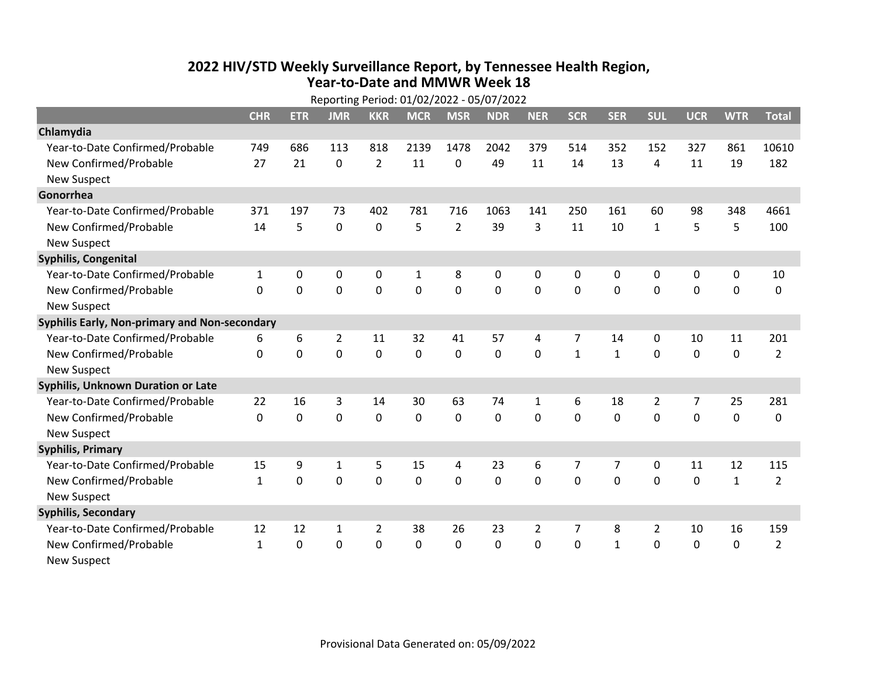## **2022 HIV /STD Weekl y Surveillance Report, b y Tennessee Health Region, Year‐to‐Date and MMWR Week 18**

| Reporting Period: 01/02/2022 - 05/07/2022     |              |             |                |                |              |                |            |                |              |              |                |                |              |                |
|-----------------------------------------------|--------------|-------------|----------------|----------------|--------------|----------------|------------|----------------|--------------|--------------|----------------|----------------|--------------|----------------|
|                                               | <b>CHR</b>   | <b>ETR</b>  | <b>JMR</b>     | <b>KKR</b>     | <b>MCR</b>   | <b>MSR</b>     | <b>NDR</b> | <b>NER</b>     | <b>SCR</b>   | <b>SER</b>   | <b>SUL</b>     | <b>UCR</b>     | <b>WTR</b>   | <b>Total</b>   |
| Chlamydia                                     |              |             |                |                |              |                |            |                |              |              |                |                |              |                |
| Year-to-Date Confirmed/Probable               | 749          | 686         | 113            | 818            | 2139         | 1478           | 2042       | 379            | 514          | 352          | 152            | 327            | 861          | 10610          |
| New Confirmed/Probable                        | 27           | 21          | $\Omega$       | $\overline{2}$ | 11           | $\Omega$       | 49         | 11             | 14           | 13           | 4              | 11             | 19           | 182            |
| <b>New Suspect</b>                            |              |             |                |                |              |                |            |                |              |              |                |                |              |                |
| Gonorrhea                                     |              |             |                |                |              |                |            |                |              |              |                |                |              |                |
| Year-to-Date Confirmed/Probable               | 371          | 197         | 73             | 402            | 781          | 716            | 1063       | 141            | 250          | 161          | 60             | 98             | 348          | 4661           |
| New Confirmed/Probable                        | 14           | 5           | 0              | 0              | 5            | $\overline{2}$ | 39         | 3              | 11           | 10           | $\mathbf{1}$   | 5              | 5            | 100            |
| <b>New Suspect</b>                            |              |             |                |                |              |                |            |                |              |              |                |                |              |                |
| <b>Syphilis, Congenital</b>                   |              |             |                |                |              |                |            |                |              |              |                |                |              |                |
| Year-to-Date Confirmed/Probable               | 1            | 0           | 0              | 0              | $\mathbf{1}$ | 8              | 0          | 0              | $\Omega$     | 0            | 0              | 0              | $\pmb{0}$    | 10             |
| New Confirmed/Probable                        | $\Omega$     | 0           | 0              | 0              | 0            | $\mathbf 0$    | 0          | 0              | $\Omega$     | $\mathbf 0$  | $\mathbf 0$    | 0              | 0            | 0              |
| <b>New Suspect</b>                            |              |             |                |                |              |                |            |                |              |              |                |                |              |                |
| Syphilis Early, Non-primary and Non-secondary |              |             |                |                |              |                |            |                |              |              |                |                |              |                |
| Year-to-Date Confirmed/Probable               | 6            | 6           | $\overline{2}$ | 11             | 32           | 41             | 57         | 4              | 7            | 14           | 0              | 10             | 11           | 201            |
| New Confirmed/Probable                        | 0            | 0           | 0              | 0              | 0            | 0              | 0          | 0              | $\mathbf{1}$ | $\mathbf{1}$ | 0              | 0              | 0            | $\overline{2}$ |
| <b>New Suspect</b>                            |              |             |                |                |              |                |            |                |              |              |                |                |              |                |
| <b>Syphilis, Unknown Duration or Late</b>     |              |             |                |                |              |                |            |                |              |              |                |                |              |                |
| Year-to-Date Confirmed/Probable               | 22           | 16          | 3              | 14             | 30           | 63             | 74         | 1              | 6            | 18           | $\overline{2}$ | $\overline{7}$ | 25           | 281            |
| New Confirmed/Probable                        | $\Omega$     | $\mathbf 0$ | $\mathbf 0$    | $\Omega$       | $\mathbf{0}$ | 0              | 0          | 0              | $\Omega$     | $\mathbf 0$  | 0              | 0              | $\mathbf 0$  | 0              |
| <b>New Suspect</b>                            |              |             |                |                |              |                |            |                |              |              |                |                |              |                |
| <b>Syphilis, Primary</b>                      |              |             |                |                |              |                |            |                |              |              |                |                |              |                |
| Year-to-Date Confirmed/Probable               | 15           | 9           | 1              | 5              | 15           | 4              | 23         | 6              | 7            | 7            | 0              | 11             | 12           | 115            |
| New Confirmed/Probable                        | $\mathbf{1}$ | 0           | $\mathbf 0$    | 0              | $\mathbf 0$  | 0              | 0          | 0              | 0            | $\mathbf 0$  | 0              | 0              | $\mathbf{1}$ | $\overline{2}$ |
| <b>New Suspect</b>                            |              |             |                |                |              |                |            |                |              |              |                |                |              |                |
| <b>Syphilis, Secondary</b>                    |              |             |                |                |              |                |            |                |              |              |                |                |              |                |
| Year-to-Date Confirmed/Probable               | 12           | 12          | 1              | $\overline{2}$ | 38           | 26             | 23         | $\overline{2}$ | 7            | 8            | $\overline{2}$ | 10             | 16           | 159            |
| New Confirmed/Probable                        | $\mathbf{1}$ | 0           | 0              | 0              | 0            | 0              | 0          | 0              | 0            | $\mathbf{1}$ | 0              | 0              | $\mathbf 0$  | $\overline{2}$ |
| <b>New Suspect</b>                            |              |             |                |                |              |                |            |                |              |              |                |                |              |                |